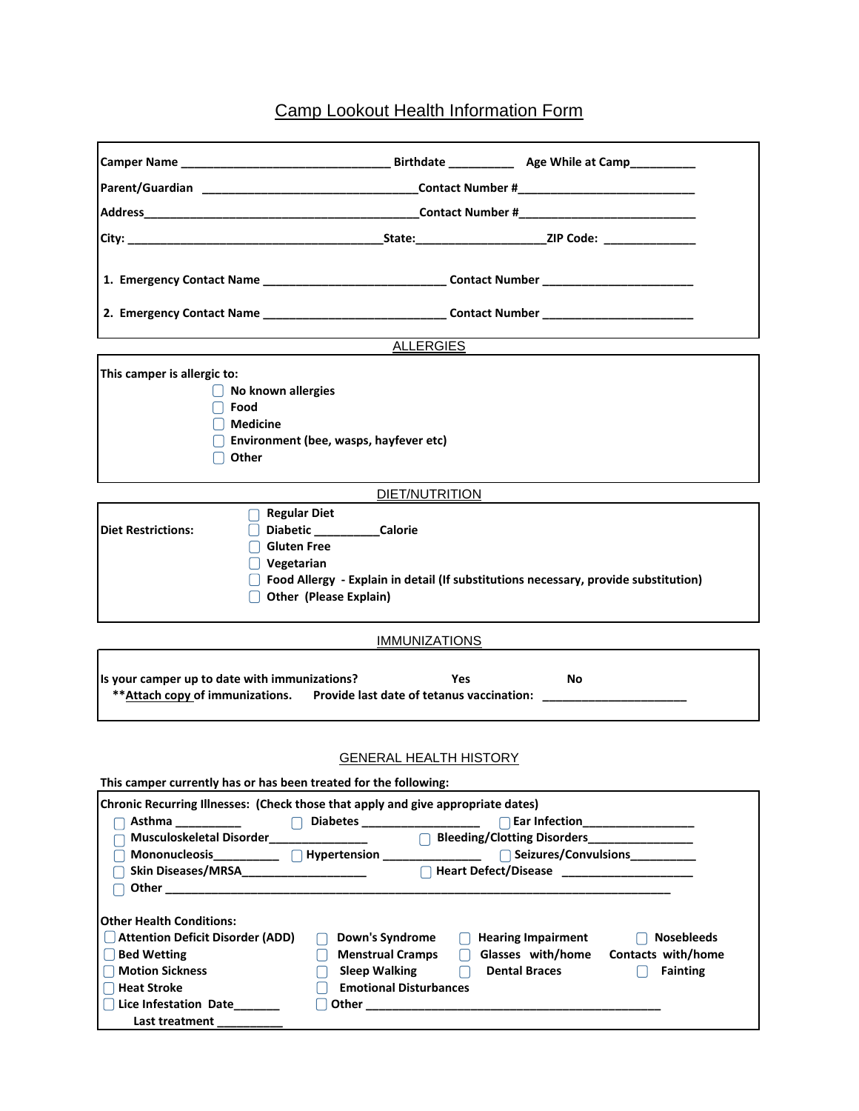## Camp Lookout Health Information Form

|                                                                                                                                                                                                                                                                                                                                                                                                                                                                         | Parent/Guardian ___________________________________Contact Number #________________________________ |                                                                                                                                                                                                                                                                                                                                                  |  |  |  |  |  |
|-------------------------------------------------------------------------------------------------------------------------------------------------------------------------------------------------------------------------------------------------------------------------------------------------------------------------------------------------------------------------------------------------------------------------------------------------------------------------|-----------------------------------------------------------------------------------------------------|--------------------------------------------------------------------------------------------------------------------------------------------------------------------------------------------------------------------------------------------------------------------------------------------------------------------------------------------------|--|--|--|--|--|
|                                                                                                                                                                                                                                                                                                                                                                                                                                                                         |                                                                                                     |                                                                                                                                                                                                                                                                                                                                                  |  |  |  |  |  |
|                                                                                                                                                                                                                                                                                                                                                                                                                                                                         |                                                                                                     |                                                                                                                                                                                                                                                                                                                                                  |  |  |  |  |  |
|                                                                                                                                                                                                                                                                                                                                                                                                                                                                         | 1. Emergency Contact Name ______________________________Contact Number ____________________________ |                                                                                                                                                                                                                                                                                                                                                  |  |  |  |  |  |
|                                                                                                                                                                                                                                                                                                                                                                                                                                                                         | 2. Emergency Contact Name __________________________________Contact Number ________________________ |                                                                                                                                                                                                                                                                                                                                                  |  |  |  |  |  |
| <b>ALLERGIES</b>                                                                                                                                                                                                                                                                                                                                                                                                                                                        |                                                                                                     |                                                                                                                                                                                                                                                                                                                                                  |  |  |  |  |  |
| This camper is allergic to:<br>$\Box$ No known allergies<br>l Food<br>    Medicine<br>Other                                                                                                                                                                                                                                                                                                                                                                             | Environment (bee, wasps, hayfever etc)                                                              |                                                                                                                                                                                                                                                                                                                                                  |  |  |  |  |  |
|                                                                                                                                                                                                                                                                                                                                                                                                                                                                         | DIET/NUTRITION                                                                                      |                                                                                                                                                                                                                                                                                                                                                  |  |  |  |  |  |
| $\bigcap$ Regular Diet<br><b>Diet Restrictions:</b><br>Gluten Free<br>  Vegetarian<br>Other (Please Explain)                                                                                                                                                                                                                                                                                                                                                            | Diabetic _______________Calorie                                                                     | $\Box$ Food Allergy - Explain in detail (If substitutions necessary, provide substitution)                                                                                                                                                                                                                                                       |  |  |  |  |  |
|                                                                                                                                                                                                                                                                                                                                                                                                                                                                         | <b>IMMUNIZATIONS</b>                                                                                |                                                                                                                                                                                                                                                                                                                                                  |  |  |  |  |  |
| Is your camper up to date with immunizations?<br>Yes<br><b>No</b><br>** Attach copy of immunizations. Provide last date of tetanus vaccination:                                                                                                                                                                                                                                                                                                                         |                                                                                                     |                                                                                                                                                                                                                                                                                                                                                  |  |  |  |  |  |
| <b>GENERAL HEALTH HISTORY</b>                                                                                                                                                                                                                                                                                                                                                                                                                                           |                                                                                                     |                                                                                                                                                                                                                                                                                                                                                  |  |  |  |  |  |
| This camper currently has or has been treated for the following:<br>Chronic Recurring Illnesses: (Check those that apply and give appropriate dates)<br>Asthma<br>Musculoskeletal Disorder<br>Skin Diseases/MRSA_____________________<br>Other the contract of the contract of the contract of the contract of the contract of the contract of the contract of the contract of the contract of the contract of the contract of the contract of the contract of the cont | Diabetes ____________________                                                                       | Ear Infection__________________<br>Bleeding/Clotting Disorders_______________<br>□ Seizures/Convulsions<br>□ 2022年 2022年 2022年 2022年 2022年 2022年 2022年 2022年 2022年 2022年 2022年 2022年 2022年 2022年 2022年 2022年 2022年 2023年 2023年 2023年 2023年 2023年 2023年 2023年 2023年 2023年 2023年 2023年 2023年 2023年 2023年 2023年 2023<br>$\Box$ Heart Defect/Disease |  |  |  |  |  |
| <b>Other Health Conditions:</b><br><b>Attention Deficit Disorder (ADD)</b><br><b>Bed Wetting</b><br><b>Motion Sickness</b><br><b>Heat Stroke</b><br>Lice Infestation Date                                                                                                                                                                                                                                                                                               | Down's Syndrome<br><b>Menstrual Cramps</b><br><b>Sleep Walking</b><br><b>Emotional Disturbances</b> | <b>Hearing Impairment</b><br><b>Nosebleeds</b><br>Glasses with/home<br>Contacts with/home<br><b>Dental Braces</b><br><b>Fainting</b>                                                                                                                                                                                                             |  |  |  |  |  |

Last treatment

 $\mathbf{r}$